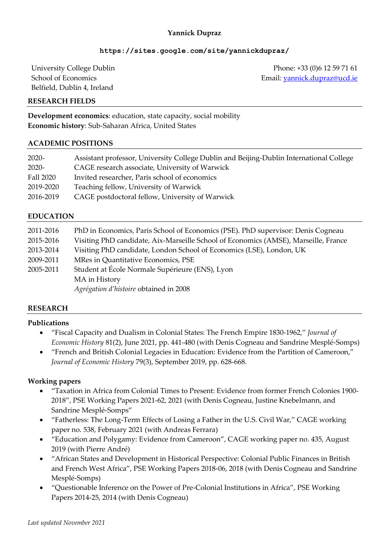## **Yannick Dupraz**

## **<https://sites.google.com/site/yannickdupraz/>**

University College Dublin School of Economics Belfield, Dublin 4, Ireland

Phone: +33 (0)6 12 59 71 61 Email: [yannick.dupraz@ucd.ie](mailto:yannick.dupraz@ucd.ie)

#### **RESEARCH FIELDS**

**Development economics**: education, state capacity, social mobility **Economic history**: Sub-Saharan Africa, United States

#### **ACADEMIC POSITIONS**

| $2020 -$  | Assistant professor, University College Dublin and Beijing-Dublin International College |
|-----------|-----------------------------------------------------------------------------------------|
| 2020-     | CAGE research associate, University of Warwick                                          |
| Fall 2020 | Invited researcher, Paris school of economics                                           |
| 2019-2020 | Teaching fellow, University of Warwick                                                  |
| 2016-2019 | CAGE postdoctoral fellow, University of Warwick                                         |

#### **EDUCATION**

| 2011-2016 | PhD in Economics, Paris School of Economics (PSE). PhD supervisor: Denis Cogneau    |  |
|-----------|-------------------------------------------------------------------------------------|--|
| 2015-2016 | Visiting PhD candidate, Aix-Marseille School of Economics (AMSE), Marseille, France |  |
| 2013-2014 | Visiting PhD candidate, London School of Economics (LSE), London, UK                |  |
| 2009-2011 | MRes in Quantitative Economics, PSE                                                 |  |
| 2005-2011 | Student at École Normale Supérieure (ENS), Lyon                                     |  |
|           | MA in History                                                                       |  |
|           | Agrégation d'histoire obtained in 2008                                              |  |

#### **RESEARCH**

#### **Publications**

- "Fiscal Capacity and Dualism in Colonial States: The French Empire 1830-1962," *Journal of Economic History* 81(2), June 2021, pp. 441-480 (with Denis Cogneau and Sandrine Mesplé-Somps)
- "French and British Colonial Legacies in Education: Evidence from the Partition of Cameroon," *Journal of Economic History* 79(3), September 2019, pp. 628-668.

#### **Working papers**

- "Taxation in Africa from Colonial Times to Present: Evidence from former French Colonies 1900- 2018", PSE Working Papers 2021-62, 2021 (with Denis Cogneau, Justine Knebelmann, and Sandrine Mesplé-Somps"
- "Fatherless: The Long-Term Effects of Losing a Father in the U.S. Civil War," CAGE working paper no. 538, February 2021 (with Andreas Ferrara)
- "Education and Polygamy: Evidence from Cameroon", CAGE working paper no. 435, August 2019 (with Pierre André)
- "African States and Development in Historical Perspective: Colonial Public Finances in British and French West Africa", PSE Working Papers 2018-06, 2018 (with Denis Cogneau and Sandrine Mesplé-Somps)
- "Questionable Inference on the Power of Pre-Colonial Institutions in Africa", PSE Working Papers 2014-25, 2014 (with Denis Cogneau)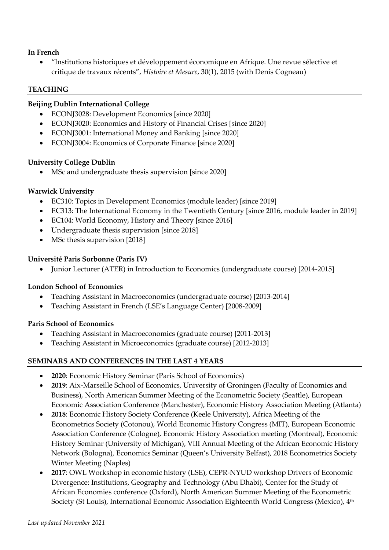## **In French**

• "Institutions historiques et développement économique en Afrique. Une revue sélective et critique de travaux récents", *Histoire et Mesure*, 30(1), 2015 (with Denis Cogneau)

## **TEACHING**

## **Beijing Dublin International College**

- ECONJ3028: Development Economics [since 2020]
- ECONJ3020: Economics and History of Financial Crises [since 2020]
- ECONJ3001: International Money and Banking [since 2020]
- ECONJ3004: Economics of Corporate Finance [since 2020]

## **University College Dublin**

MSc and undergraduate thesis supervision [since 2020]

## **Warwick University**

- EC310: Topics in Development Economics (module leader) [since 2019]
- EC313: The International Economy in the Twentieth Century [since 2016, module leader in 2019]
- EC104: World Economy, History and Theory [since 2016]
- Undergraduate thesis supervision [since 2018]
- MSc thesis supervision [2018]

## **Université Paris Sorbonne (Paris IV)**

• Junior Lecturer (ATER) in Introduction to Economics (undergraduate course) [2014-2015]

## **London School of Economics**

- Teaching Assistant in Macroeconomics (undergraduate course) [2013-2014]
- Teaching Assistant in French (LSE's Language Center) [2008-2009]

## **Paris School of Economics**

- Teaching Assistant in Macroeconomics (graduate course) [2011-2013]
- Teaching Assistant in Microeconomics (graduate course) [2012-2013]

# **SEMINARS AND CONFERENCES IN THE LAST 4 YEARS**

- **2020**: Economic History Seminar (Paris School of Economics)
- **2019**: Aix-Marseille School of Economics, University of Groningen (Faculty of Economics and Business), North American Summer Meeting of the Econometric Society (Seattle), European Economic Association Conference (Manchester), Economic History Association Meeting (Atlanta)
- **2018**: Economic History Society Conference (Keele University), Africa Meeting of the Econometrics Society (Cotonou), World Economic History Congress (MIT), European Economic Association Conference (Cologne), Economic History Association meeting (Montreal), Economic History Seminar (University of Michigan), VIII Annual Meeting of the African Economic History Network (Bologna), Economics Seminar (Queen's University Belfast), 2018 Econometrics Society Winter Meeting (Naples)
- **2017**: OWL Workshop in economic history (LSE), CEPR-NYUD workshop Drivers of Economic Divergence: Institutions, Geography and Technology (Abu Dhabi), Center for the Study of African Economies conference (Oxford), North American Summer Meeting of the Econometric Society (St Louis), International Economic Association Eighteenth World Congress (Mexico), 4<sup>th</sup>